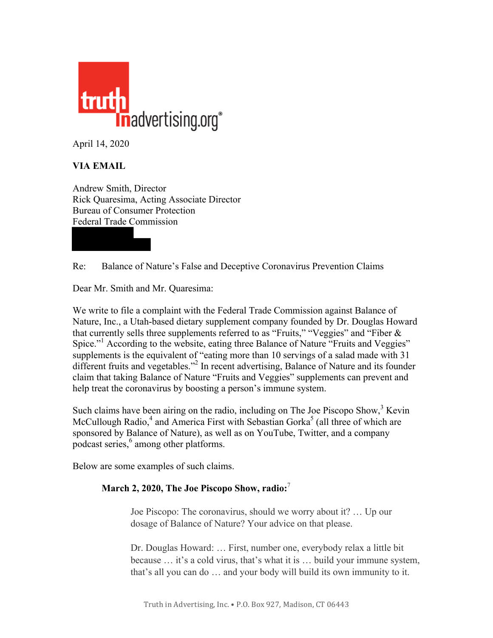

April 14, 2020

# **VIA EMAIL**

Andrew Smith, Director Rick Quaresima, Acting Associate Director Bureau of Consumer Protection Federal Trade Commission

Re: Balance of Nature's False and Deceptive Coronavirus Prevention Claims

Dear Mr. Smith and Mr. Quaresima:

We write to file a complaint with the Federal Trade Commission against Balance of Nature, Inc., a Utah-based dietary supplement company founded by Dr. Douglas Howard that currently sells three supplements referred to as "Fruits," "Veggies" and "Fiber  $\&$ Spice."<sup>1</sup> According to the website, eating three Balance of Nature "Fruits and Veggies" supplements is the equivalent of "eating more than 10 servings of a salad made with 31 different fruits and vegetables."2 In recent advertising, Balance of Nature and its founder claim that taking Balance of Nature "Fruits and Veggies" supplements can prevent and help treat the coronavirus by boosting a person's immune system.

Such claims have been airing on the radio, including on The Joe Piscopo Show, $3$  Kevin McCullough Radio, $4$  and America First with Sebastian Gorka<sup>5</sup> (all three of which are sponsored by Balance of Nature), as well as on YouTube, Twitter, and a company podcast series, <sup>6</sup> among other platforms.

Below are some examples of such claims.

## **March 2, 2020, The Joe Piscopo Show, radio:** 7

Joe Piscopo: The coronavirus, should we worry about it? … Up our dosage of Balance of Nature? Your advice on that please.

Dr. Douglas Howard: … First, number one, everybody relax a little bit because … it's a cold virus, that's what it is … build your immune system, that's all you can do … and your body will build its own immunity to it.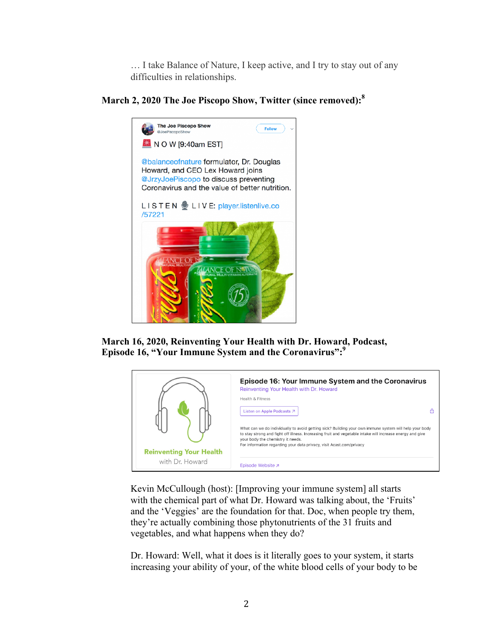… I take Balance of Nature, I keep active, and I try to stay out of any difficulties in relationships.

### **March 2, 2020 The Joe Piscopo Show, Twitter (since removed):<sup>8</sup>**



**March 16, 2020, Reinventing Your Health with Dr. Howard, Podcast, Episode 16, "Your Immune System and the Coronavirus":9**



Kevin McCullough (host): [Improving your immune system] all starts with the chemical part of what Dr. Howard was talking about, the 'Fruits' and the 'Veggies' are the foundation for that. Doc, when people try them, they're actually combining those phytonutrients of the 31 fruits and vegetables, and what happens when they do?

Dr. Howard: Well, what it does is it literally goes to your system, it starts increasing your ability of your, of the white blood cells of your body to be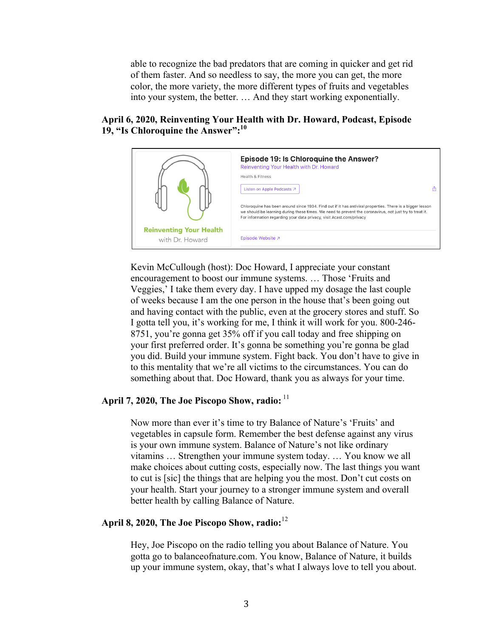able to recognize the bad predators that are coming in quicker and get rid of them faster. And so needless to say, the more you can get, the more color, the more variety, the more different types of fruits and vegetables into your system, the better. … And they start working exponentially.

#### **April 6, 2020, Reinventing Your Health with Dr. Howard, Podcast, Episode 19, "Is Chloroquine the Answer":10**



Kevin McCullough (host): Doc Howard, I appreciate your constant encouragement to boost our immune systems. … Those 'Fruits and Veggies,' I take them every day. I have upped my dosage the last couple of weeks because I am the one person in the house that's been going out and having contact with the public, even at the grocery stores and stuff. So I gotta tell you, it's working for me, I think it will work for you. 800-246- 8751, you're gonna get 35% off if you call today and free shipping on your first preferred order. It's gonna be something you're gonna be glad you did. Build your immune system. Fight back. You don't have to give in to this mentality that we're all victims to the circumstances. You can do something about that. Doc Howard, thank you as always for your time.

#### **April 7, 2020, The Joe Piscopo Show, radio:** <sup>11</sup>

Now more than ever it's time to try Balance of Nature's 'Fruits' and vegetables in capsule form. Remember the best defense against any virus is your own immune system. Balance of Nature's not like ordinary vitamins … Strengthen your immune system today. … You know we all make choices about cutting costs, especially now. The last things you want to cut is [sic] the things that are helping you the most. Don't cut costs on your health. Start your journey to a stronger immune system and overall better health by calling Balance of Nature.

### **April 8, 2020, The Joe Piscopo Show, radio:** 12

Hey, Joe Piscopo on the radio telling you about Balance of Nature. You gotta go to balanceofnature.com. You know, Balance of Nature, it builds up your immune system, okay, that's what I always love to tell you about.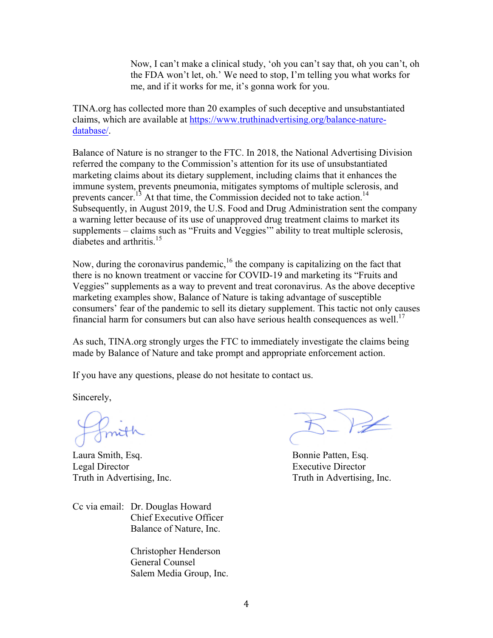Now, I can't make a clinical study, 'oh you can't say that, oh you can't, oh the FDA won't let, oh.' We need to stop, I'm telling you what works for me, and if it works for me, it's gonna work for you.

TINA.org has collected more than 20 examples of such deceptive and unsubstantiated claims, which are available a[t https://www.truthinadvertising.org/balance-nature](https://www.truthinadvertising.org/balance-nature-database/)[database/.](https://www.truthinadvertising.org/balance-nature-database/) 

Balance of Nature is no stranger to the FTC. In 2018, the National Advertising Division referred the company to the Commission's attention for its use of unsubstantiated marketing claims about its dietary supplement, including claims that it enhances the immune system, prevents pneumonia, mitigates symptoms of multiple sclerosis, and prevents cancer.<sup>13</sup> At that time, the Commission decided not to take action.<sup>14</sup> Subsequently, in August 2019, the U.S. Food and Drug Administration sent the company a warning letter because of its use of unapproved drug treatment claims to market its supplements – claims such as "Fruits and Veggies'" ability to treat multiple sclerosis, diabetes and arthritis. $15$ 

Now, during the coronavirus pandemic,  $16$  the company is capitalizing on the fact that there is no known treatment or vaccine for COVID-19 and marketing its "Fruits and Veggies" supplements as a way to prevent and treat coronavirus. As the above deceptive marketing examples show, Balance of Nature is taking advantage of susceptible consumers' fear of the pandemic to sell its dietary supplement. This tactic not only causes financial harm for consumers but can also have serious health consequences as well.<sup>17</sup>

As such, TINA.org strongly urges the FTC to immediately investigate the claims being made by Balance of Nature and take prompt and appropriate enforcement action.

If you have any questions, please do not hesitate to contact us.

Sincerely,

Laura Smith, Esq. Bonnie Patten, Esq. Legal Director Executive Director Truth in Advertising, Inc. Truth in Advertising, Inc.

Cc via email: Dr. Douglas Howard Chief Executive Officer Balance of Nature, Inc.

> Christopher Henderson General Counsel Salem Media Group, Inc.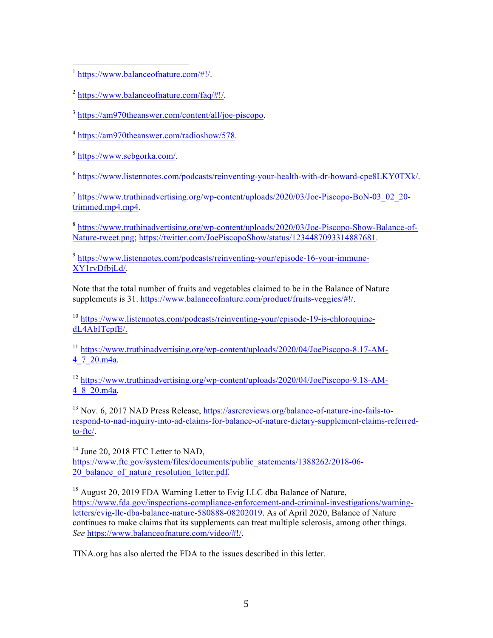[https://www.balanceofnature.com/#!/.](https://www.balanceofnature.com/#!/)  $\overline{a}$ 

 $^{2}$  [https://www.balanceofnature.com/faq/#!/.](https://www.balanceofnature.com/faq/#!/)

<sup>3</sup> [https://am970theanswer.com/content/all/joe-piscopo.](https://am970theanswer.com/content/all/joe-piscopo)

<sup>4</sup> [https://am970theanswer.com/radioshow/578.](https://am970theanswer.com/radioshow/578)

<sup>5</sup> [https://www.sebgorka.com/.](https://www.sebgorka.com/)

 $^6$  [https://www.listennotes.com/podcasts/reinventing-your-health-with-dr-howard-cpe8LKY0TXk/.](https://www.listennotes.com/podcasts/reinventing-your-health-with-dr-howard-cpe8LKY0TXk/)

 $^7$  https://www.truthinadvertising.org/wp-content/uploads/2020/03/Joe-Piscopo-BoN-03 02 20trimmed.mp4.mp4.

<sup>8</sup> [https://www.truthinadvertising.org/wp-content/uploads/2020/03/Joe-Piscopo-Show-Balance-of-](https://www.truthinadvertising.org/wp-content/uploads/2020/03/Joe-Piscopo-Show-Balance-of-Nature-tweet.png)[Nature-tweet.png;](https://www.truthinadvertising.org/wp-content/uploads/2020/03/Joe-Piscopo-Show-Balance-of-Nature-tweet.png) [https://twitter.com/JoePiscopoShow/status/1234487093314887681.](https://twitter.com/JoePiscopoShow/status/1234487093314887681)

<sup>9</sup> [https://www.listennotes.com/podcasts/reinventing-your/episode-16-your-immune-](https://www.listennotes.com/podcasts/reinventing-your/episode-16-your-immune-XY1rvDfbjLd/)XY1rvDfbjLd/.

Note that the total number of fruits and vegetables claimed to be in the Balance of Nature supplements is 31. [https://www.balanceofnature.com/product/fruits-veggies/#!/.](https://www.balanceofnature.com/product/fruits-veggies/#!/)

<sup>10</sup> [https://www.listennotes.com/podcasts/reinventing-your/episode-19-is-chloroquine](https://www.listennotes.com/podcasts/reinventing-your/episode-19-is-chloroquine-dL4AbITcpfE/)dL4AbITcpfE/.

<sup>11</sup> [https://www.truthinadvertising.org/wp-content/uploads/2020/04/JoePiscopo-8.17-AM-](https://www.truthinadvertising.org/wp-content/uploads/2020/04/JoePiscopo-8.17-AM-4_7_20.m4a)4\_7\_20.m4a.

<sup>12</sup> [https://www.truthinadvertising.org/wp-content/uploads/2020/04/JoePiscopo-9.18-AM-](https://www.truthinadvertising.org/wp-content/uploads/2020/04/JoePiscopo-9.18-AM-4_8_20.m4a)4\_8\_20.m4a.

<sup>13</sup> Nov. 6, 2017 NAD Press Release[, https://asrcreviews.org/balance-of-nature-inc-fails-to](https://asrcreviews.org/balance-of-nature-inc-fails-to-respond-to-nad-inquiry-into-ad-claims-for-balance-of-nature-dietary-supplement-claims-referred-to-ftc/)[respond-to-nad-inquiry-into-ad-claims-for-balance-of-nature-dietary-supplement-claims-referred](https://asrcreviews.org/balance-of-nature-inc-fails-to-respond-to-nad-inquiry-into-ad-claims-for-balance-of-nature-dietary-supplement-claims-referred-to-ftc/)to-ftc/.

<sup>14</sup> June 20, 2018 FTC Letter to NAD, [https://www.ftc.gov/system/files/documents/public\\_statements/1388262/2018-06-](https://www.ftc.gov/system/files/documents/public_statements/1388262/2018-06-20_balance_of_nature_resolution_letter.pdf) 20\_balance\_of\_nature\_resolution\_letter.pdf.

<sup>15</sup> August 20, 2019 FDA Warning Letter to Evig LLC dba Balance of Nature, [https://www.fda.gov/inspections-compliance-enforcement-and-criminal-investigations/warning](https://www.fda.gov/inspections-compliance-enforcement-and-criminal-investigations/warning-letters/evig-llc-dba-balance-nature-580888-08202019)[letters/evig-llc-dba-balance-nature-580888-08202019.](https://www.fda.gov/inspections-compliance-enforcement-and-criminal-investigations/warning-letters/evig-llc-dba-balance-nature-580888-08202019) As of April 2020, Balance of Nature continues to make claims that its supplements can treat multiple sclerosis, among other things. *See* [https://www.balanceofnature.com/video/#!/.](https://www.balanceofnature.com/video/#!/)

TINA.org has also alerted the FDA to the issues described in this letter.